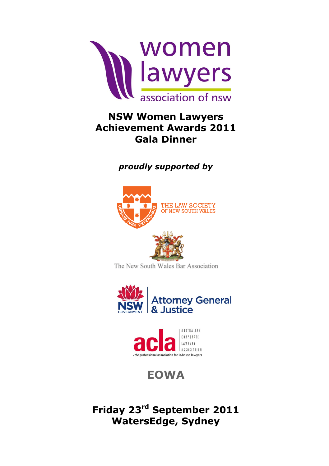

## **NSW Women Lawyers Achievement Awards 2011 Gala Dinner**

#### *proudly supported by proudly supported by*



The New South Wales Bar Association





### **EOWA EOWA**

**Friday 23rd September 2011 WatersEdge, Sydney Friday 23rd September 2011 WatersEdge, Sydney**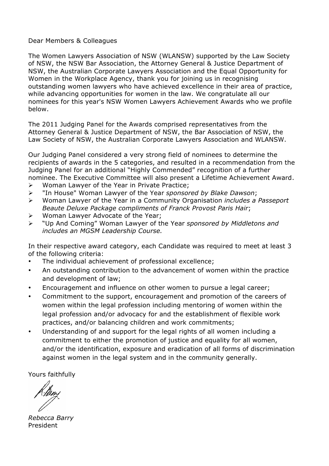#### Dear Members & Colleagues

The Women Lawyers Association of NSW (WLANSW) supported by the Law Society of NSW, the NSW Bar Association, the Attorney General & Justice Department of NSW, the Australian Corporate Lawyers Association and the Equal Opportunity for Women in the Workplace Agency, thank you for joining us in recognising outstanding women lawyers who have achieved excellence in their area of practice, while advancing opportunities for women in the law. We congratulate all our nominees for this year's NSW Women Lawyers Achievement Awards who we profile below.

The 2011 Judging Panel for the Awards comprised representatives from the Attorney General & Justice Department of NSW, the Bar Association of NSW, the Law Society of NSW, the Australian Corporate Lawyers Association and WLANSW.

Our Judging Panel considered a very strong field of nominees to determine the recipients of awards in the 5 categories, and resulted in a recommendation from the Judging Panel for an additional "Highly Commended" recognition of a further nominee. The Executive Committee will also present a Lifetime Achievement Award.

- $\triangleright$  Woman Lawyer of the Year in Private Practice:
- Ø "In House" Woman Lawyer of the Year *sponsored by Blake Dawson*;
- Ø Woman Lawyer of the Year in a Community Organisation *includes a Passeport Beaute Deluxe Package compliments of Franck Provost Paris Hair*;
- $\triangleright$  Woman Lawyer Advocate of the Year:
- Ø "Up And Coming" Woman Lawyer of the Year *sponsored by Middletons and includes an MGSM Leadership Course.*

In their respective award category, each Candidate was required to meet at least 3 of the following criteria:

- The individual achievement of professional excellence:
- An outstanding contribution to the advancement of women within the practice and development of law;
- Encouragement and influence on other women to pursue a legal career;
- Commitment to the support, encouragement and promotion of the careers of women within the legal profession including mentoring of women within the legal profession and/or advocacy for and the establishment of flexible work practices, and/or balancing children and work commitments;
- Understanding of and support for the legal rights of all women including a commitment to either the promotion of justice and equality for all women, and/or the identification, exposure and eradication of all forms of discrimination against women in the legal system and in the community generally.

Yours faithfully

*Rebecca Barry* President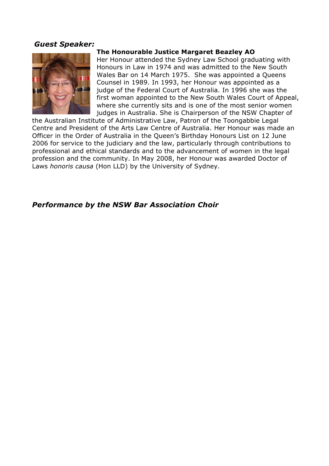#### *Guest Speaker:*



#### **The Honourable Justice Margaret Beazley AO**

Her Honour attended the Sydney Law School graduating with Honours in Law in 1974 and was admitted to the New South Wales Bar on 14 March 1975. She was appointed a Queens Counsel in 1989. In 1993, her Honour was appointed as a judge of the Federal Court of Australia. In 1996 she was the first woman appointed to the New South Wales Court of Appeal, where she currently sits and is one of the most senior women judges in Australia. She is Chairperson of the NSW Chapter of

the Australian Institute of Administrative Law, Patron of the Toongabbie Legal Centre and President of the Arts Law Centre of Australia. Her Honour was made an Officer in the Order of Australia in the Queen's Birthday Honours List on 12 June 2006 for service to the judiciary and the law, particularly through contributions to professional and ethical standards and to the advancement of women in the legal profession and the community. In May 2008, her Honour was awarded Doctor of Laws *honoris causa* (Hon LLD) by the University of Sydney.

#### *Performance by the NSW Bar Association Choir*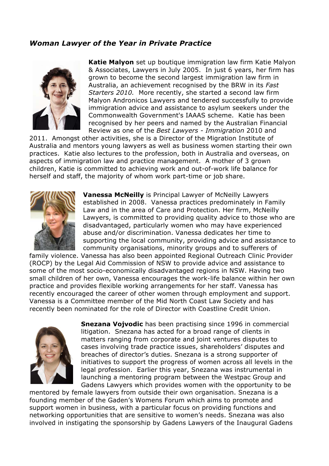#### *Woman Lawyer of the Year in Private Practice*



**Katie Malyon** set up boutique immigration law firm Katie Malyon & Associates, Lawyers in July 2005. In just 6 years, her firm has grown to become the second largest immigration law firm in Australia, an achievement recognised by the BRW in its *Fast Starters 2010.* More recently, she started a second law firm Malyon Andronicos Lawyers and tendered successfully to provide immigration advice and assistance to asylum seekers under the Commonwealth Government's IAAAS scheme. Katie has been recognised by her peers and named by the Australian Financial Review as one of the *Best Lawyers - Immigration* 2010 and

2011. Amongst other activities, she is a Director of the Migration Institute of Australia and mentors young lawyers as well as business women starting their own practices. Katie also lectures to the profession, both in Australia and overseas, on aspects of immigration law and practice management. A mother of 3 grown children, Katie is committed to achieving work and out-of-work life balance for herself and staff, the majority of whom work part-time or job share.



**Vanessa McNeilly** is Principal Lawyer of McNeilly Lawyers established in 2008. Vanessa practices predominately in Family Law and in the area of Care and Protection. Her firm, McNeilly Lawyers, is committed to providing quality advice to those who are disadvantaged, particularly women who may have experienced abuse and/or discrimination. Vanessa dedicates her time to supporting the local community, providing advice and assistance to community organisations, minority groups and to sufferers of

family violence. Vanessa has also been appointed Regional Outreach Clinic Provider (ROCP) by the Legal Aid Commission of NSW to provide advice and assistance to some of the most socio-economically disadvantaged regions in NSW. Having two small children of her own, Vanessa encourages the work-life balance within her own practice and provides flexible working arrangements for her staff. Vanessa has recently encouraged the career of other women through employment and support. Vanessa is a Committee member of the Mid North Coast Law Society and has recently been nominated for the role of Director with Coastline Credit Union.



**Snezana Vojvodic** has been practising since 1996 in commercial litigation. Snezana has acted for a broad range of clients in matters ranging from corporate and joint ventures disputes to cases involving trade practice issues, shareholders' disputes and breaches of director's duties. Snezana is a strong supporter of initiatives to support the progress of women across all levels in the legal profession. Earlier this year, Snezana was instrumental in launching a mentoring program between the Westpac Group and Gadens Lawyers which provides women with the opportunity to be

mentored by female lawyers from outside their own organisation. Snezana is a founding member of the Gaden's Womens Forum which aims to promote and support women in business, with a particular focus on providing functions and networking opportunities that are sensitive to women's needs. Snezana was also involved in instigating the sponsorship by Gadens Lawyers of the Inaugural Gadens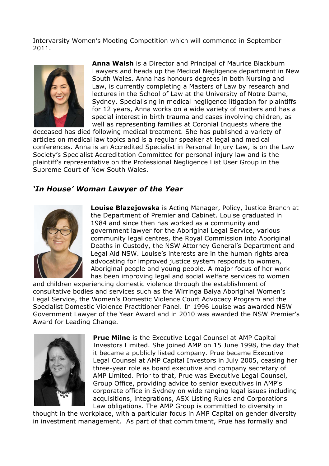Intervarsity Women's Mooting Competition which will commence in September 2011.



**Anna Walsh** is a Director and Principal of Maurice Blackburn Lawyers and heads up the Medical Negligence department in New South Wales. Anna has honours degrees in both Nursing and Law, is currently completing a Masters of Law by research and lectures in the School of Law at the University of Notre Dame, Sydney. Specialising in medical negligence litigation for plaintiffs for 12 years, Anna works on a wide variety of matters and has a special interest in birth trauma and cases involving children, as well as representing families at Coronial Inquests where the

deceased has died following medical treatment. She has published a variety of articles on medical law topics and is a regular speaker at legal and medical conferences. Anna is an Accredited Specialist in Personal Injury Law, is on the Law Society's Specialist Accreditation Committee for personal injury law and is the plaintiff's representative on the Professional Negligence List User Group in the Supreme Court of New South Wales.

#### *'In House' Woman Lawyer of the Year*



**Louise Blazejowska** is Acting Manager, Policy, Justice Branch at the Department of Premier and Cabinet. Louise graduated in 1984 and since then has worked as a community and government lawyer for the Aboriginal Legal Service, various community legal centres, the Royal Commission into Aboriginal Deaths in Custody, the NSW Attorney General's Department and Legal Aid NSW. Louise's interests are in the human rights area advocating for improved justice system responds to women. Aboriginal people and young people. A major focus of her work has been improving legal and social welfare services to women

and children experiencing domestic violence through the establishment of consultative bodies and services such as the Wirringa Baiya Aboriginal Women's Legal Service, the Women's Domestic Violence Court Advocacy Program and the Specialist Domestic Violence Practitioner Panel. In 1996 Louise was awarded NSW Government Lawyer of the Year Award and in 2010 was awarded the NSW Premier's Award for Leading Change.



**Prue Milne** is the Executive Legal Counsel at AMP Capital Investors Limited. She joined AMP on 15 June 1998, the day that it became a publicly listed company. Prue became Executive Legal Counsel at AMP Capital Investors in July 2005, ceasing her three-year role as board executive and company secretary of AMP Limited. Prior to that, Prue was Executive Legal Counsel, Group Office, providing advice to senior executives in AMP's corporate office in Sydney on wide ranging legal issues including acquisitions, integrations, ASX Listing Rules and Corporations Law obligations. The AMP Group is committed to diversity in

thought in the workplace, with a particular focus in AMP Capital on gender diversity in investment management. As part of that commitment, Prue has formally and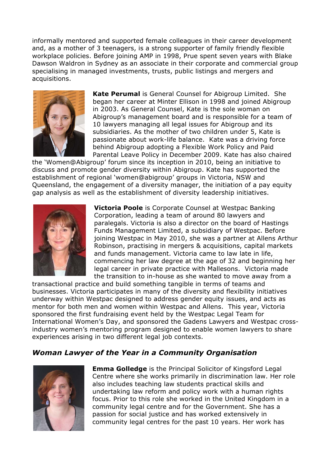informally mentored and supported female colleagues in their career development and, as a mother of 3 teenagers, is a strong supporter of family friendly flexible workplace policies. Before joining AMP in 1998, Prue spent seven years with Blake Dawson Waldron in Sydney as an associate in their corporate and commercial group specialising in managed investments, trusts, public listings and mergers and acquisitions.



**Kate Perumal** is General Counsel for Abigroup Limited. She began her career at Minter Ellison in 1998 and joined Abigroup in 2003. As General Counsel, Kate is the sole woman on Abigroup's management board and is responsible for a team of 10 lawyers managing all legal issues for Abigroup and its subsidiaries. As the mother of two children under 5, Kate is passionate about work-life balance. Kate was a driving force behind Abigroup adopting a Flexible Work Policy and Paid Parental Leave Policy in December 2009. Kate has also chaired

the 'Women@Abigroup' forum since its inception in 2010, being an initiative to discuss and promote gender diversity within Abigroup. Kate has supported the establishment of regional 'women@abigroup' groups in Victoria, NSW and Queensland, the engagement of a diversity manager, the initiation of a pay equity gap analysis as well as the establishment of diversity leadership initiatives.



**Victoria Poole** is Corporate Counsel at Westpac Banking Corporation, leading a team of around 80 lawyers and paralegals. Victoria is also a director on the board of Hastings Funds Management Limited, a subsidiary of Westpac. Before joining Westpac in May 2010, she was a partner at Allens Arthur Robinson, practising in mergers & acquisitions, capital markets and funds management. Victoria came to law late in life, commencing her law degree at the age of 32 and beginning her legal career in private practice with Mallesons. Victoria made the transition to in-house as she wanted to move away from a

transactional practice and build something tangible in terms of teams and businesses. Victoria participates in many of the diversity and flexibility initiatives underway within Westpac designed to address gender equity issues, and acts as mentor for both men and women within Westpac and Allens. This year, Victoria sponsored the first fundraising event held by the Westpac Legal Team for International Women's Day, and sponsored the Gadens Lawyers and Westpac crossindustry women's mentoring program designed to enable women lawyers to share experiences arising in two different legal job contexts.

#### *Woman Lawyer of the Year in a Community Organisation*



**Emma Golledge** is the Principal Solicitor of Kingsford Legal Centre where she works primarily in discrimination law. Her role also includes teaching law students practical skills and undertaking law reform and policy work with a human rights focus. Prior to this role she worked in the United Kingdom in a community legal centre and for the Government. She has a passion for social justice and has worked extensively in community legal centres for the past 10 years. Her work has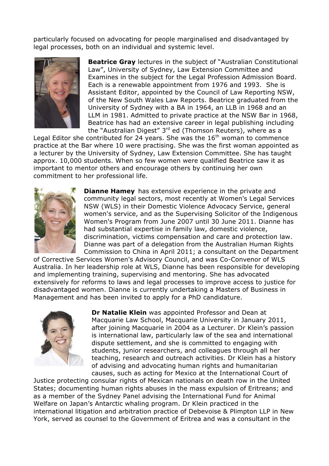particularly focused on advocating for people marginalised and disadvantaged by legal processes, both on an individual and systemic level.



**Beatrice Gray** lectures in the subject of "Australian Constitutional Law", University of Sydney, Law Extension Committee and Examines in the subject for the Legal Profession Admission Board. Each is a renewable appointment from 1976 and 1993. She is Assistant Editor, appointed by the Council of Law Reporting NSW, of the New South Wales Law Reports. Beatrice graduated from the University of Sydney with a BA in 1964, an LLB in 1968 and an LLM in 1981. Admitted to private practice at the NSW Bar in 1968, Beatrice has had an extensive career in legal publishing including the "Australian Digest" 3rd ed (Thomson Reuters), where as a

Legal Editor she contributed for 24 years. She was the  $16<sup>th</sup>$  woman to commence practice at the Bar where 10 were practising. She was the first woman appointed as a lecturer by the University of Sydney, Law Extension Committee. She has taught approx. 10,000 students. When so few women were qualified Beatrice saw it as important to mentor others and encourage others by continuing her own commitment to her professional life.



**Dianne Hamey** has extensive experience in the private and community legal sectors, most recently at Women's Legal Services NSW (WLS) in their Domestic Violence Advocacy Service, general women's service, and as the Supervising Solicitor of the Indigenous Women's Program from June 2007 until 30 June 2011. Dianne has had substantial expertise in family law, domestic violence, discrimination, victims compensation and care and protection law. Dianne was part of a delegation from the Australian Human Rights Commission to China in April 2011; a consultant on the Department

of Corrective Services Women's Advisory Council, and was Co-Convenor of WLS Australia. In her leadership role at WLS, Dianne has been responsible for developing and implementing training, supervising and mentoring. She has advocated extensively for reforms to laws and legal processes to improve access to justice for disadvantaged women. Dianne is currently undertaking a Masters of Business in Management and has been invited to apply for a PhD candidature.



**Dr Natalie Klein** was appointed Professor and Dean at Macquarie Law School, Macquarie University in January 2011, after joining Macquarie in 2004 as a Lecturer. Dr Klein's passion is international law, particularly law of the sea and international dispute settlement, and she is committed to engaging with students, junior researchers, and colleagues through all her teaching, research and outreach activities. Dr Klein has a history of advising and advocating human rights and humanitarian causes, such as acting for Mexico at the International Court of

Justice protecting consular rights of Mexican nationals on death row in the United States; documenting human rights abuses in the mass expulsion of Eritreans; and as a member of the Sydney Panel advising the International Fund for Animal Welfare on Japan's Antarctic whaling program. Dr Klein practiced in the international litigation and arbitration practice of Debevoise & Plimpton LLP in New York, served as counsel to the Government of Eritrea and was a consultant in the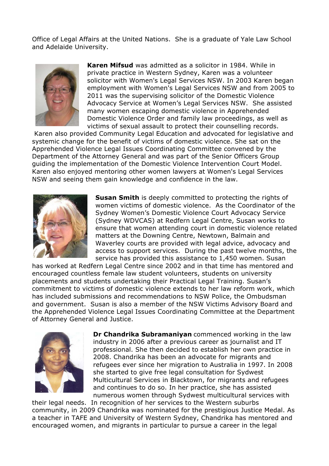Office of Legal Affairs at the United Nations. She is a graduate of Yale Law School and Adelaide University.



**Karen Mifsud** was admitted as a solicitor in 1984. While in private practice in Western Sydney, Karen was a volunteer solicitor with Women's Legal Services NSW. In 2003 Karen began employment with Women's Legal Services NSW and from 2005 to 2011 was the supervising solicitor of the Domestic Violence Advocacy Service at Women's Legal Services NSW. She assisted many women escaping domestic violence in Apprehended Domestic Violence Order and family law proceedings, as well as victims of sexual assault to protect their counselling records.

Karen also provided Community Legal Education and advocated for legislative and systemic change for the benefit of victims of domestic violence. She sat on the Apprehended Violence Legal Issues Coordinating Committee convened by the Department of the Attorney General and was part of the Senior Officers Group guiding the implementation of the Domestic Violence Intervention Court Model. Karen also enjoyed mentoring other women lawyers at Women's Legal Services NSW and seeing them gain knowledge and confidence in the law.



**Susan Smith** is deeply committed to protecting the rights of women victims of domestic violence. As the Coordinator of the Sydney Women's Domestic Violence Court Advocacy Service (Sydney WDVCAS) at Redfern Legal Centre, Susan works to ensure that women attending court in domestic violence related matters at the Downing Centre, Newtown, Balmain and Waverley courts are provided with legal advice, advocacy and access to support services. During the past twelve months, the service has provided this assistance to 1,450 women. Susan

has worked at Redfern Legal Centre since 2002 and in that time has mentored and encouraged countless female law student volunteers, students on university placements and students undertaking their Practical Legal Training. Susan's commitment to victims of domestic violence extends to her law reform work, which has included submissions and recommendations to NSW Police, the Ombudsman and government. Susan is also a member of the NSW Victims Advisory Board and the Apprehended Violence Legal Issues Coordinating Committee at the Department of Attorney General and Justice.



**Dr Chandrika Subramaniyan** commenced working in the law industry in 2006 after a previous career as journalist and IT professional. She then decided to establish her own practice in 2008. Chandrika has been an advocate for migrants and refugees ever since her migration to Australia in 1997. In 2008 she started to give free legal consultation for Sydwest Multicultural Services in Blacktown, for migrants and refugees and continues to do so. In her practice, she has assisted numerous women through Sydwest multicultural services with

their legal needs. In recognition of her services to the Western suburbs community, in 2009 Chandrika was nominated for the prestigious Justice Medal. As a teacher in TAFE and University of Western Sydney, Chandrika has mentored and encouraged women, and migrants in particular to pursue a career in the legal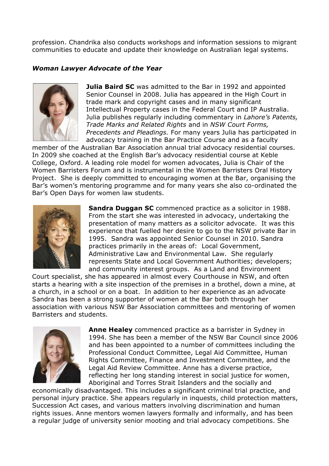profession. Chandrika also conducts workshops and information sessions to migrant communities to educate and update their knowledge on Australian legal systems.

#### *Woman Lawyer Advocate of the Year*



**Julia Baird SC** was admitted to the Bar in 1992 and appointed Senior Counsel in 2008. Julia has appeared in the High Court in trade mark and copyright cases and in many significant Intellectual Property cases in the Federal Court and IP Australia. Julia publishes regularly including commentary in *Lahore's Patents, Trade Marks and Related Rights* and in *NSW Court Forms, Precedents and Pleadings.* For many years Julia has participated in advocacy training in the Bar Practice Course and as a faculty

member of the Australian Bar Association annual trial advocacy residential courses. In 2009 she coached at the English Bar's advocacy residential course at Keble College, Oxford. A leading role model for women advocates, Julia is Chair of the Women Barristers Forum and is instrumental in the Women Barristers Oral History Project. She is deeply committed to encouraging women at the Bar, organising the Bar's women's mentoring programme and for many years she also co-ordinated the Bar's Open Days for women law students.



**Sandra Duggan SC** commenced practice as a solicitor in 1988. From the start she was interested in advocacy, undertaking the presentation of many matters as a solicitor advocate. It was this experience that fuelled her desire to go to the NSW private Bar in 1995. Sandra was appointed Senior Counsel in 2010. Sandra practices primarily in the areas of: Local Government, Administrative Law and Environmental Law. She regularly represents State and Local Government Authorities; developers; and community interest groups. As a Land and Environment

Court specialist, she has appeared in almost every Courthouse in NSW, and often starts a hearing with a site inspection of the premises in a brothel, down a mine, at a church, in a school or on a boat. In addition to her experience as an advocate Sandra has been a strong supporter of women at the Bar both through her association with various NSW Bar Association committees and mentoring of women Barristers and students.



**Anne Healey** commenced practice as a barrister in Sydney in 1994. She has been a member of the NSW Bar Council since 2006 and has been appointed to a number of committees including the Professional Conduct Committee, Legal Aid Committee, Human Rights Committee, Finance and Investment Committee, and the Legal Aid Review Committee. Anne has a diverse practice, reflecting her long standing interest in social justice for women, Aboriginal and Torres Strait Islanders and the socially and

economically disadvantaged. This includes a significant criminal trial practice, and personal injury practice. She appears regularly in inquests, child protection matters, Succession Act cases, and various matters involving discrimination and human rights issues. Anne mentors women lawyers formally and informally, and has been a regular judge of university senior mooting and trial advocacy competitions. She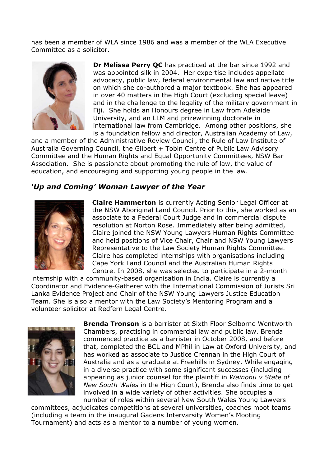has been a member of WLA since 1986 and was a member of the WLA Executive Committee as a solicitor.



**Dr Melissa Perry QC** has practiced at the bar since 1992 and was appointed silk in 2004. Her expertise includes appellate advocacy, public law, federal environmental law and native title on which she co-authored a major textbook. She has appeared in over 40 matters in the High Court (excluding special leave) and in the challenge to the legality of the military government in Fiji. She holds an Honours degree in Law from Adelaide University, and an LLM and prizewinning doctorate in international law from Cambridge. Among other positions, she is a foundation fellow and director, Australian Academy of Law,

and a member of the Administrative Review Council, the Rule of Law Institute of Australia Governing Council, the Gilbert + Tobin Centre of Public Law Advisory Committee and the Human Rights and Equal Opportunity Committees, NSW Bar Association. She is passionate about promoting the rule of law, the value of education, and encouraging and supporting young people in the law.

#### *'Up and Coming' Woman Lawyer of the Year*



**Claire Hammerton** is currently Acting Senior Legal Officer at the NSW Aboriginal Land Council. Prior to this, she worked as an associate to a Federal Court Judge and in commercial dispute resolution at Norton Rose. Immediately after being admitted, Claire joined the NSW Young Lawyers Human Rights Committee and held positions of Vice Chair, Chair and NSW Young Lawyers Representative to the Law Society Human Rights Committee. Claire has completed internships with organisations including Cape York Land Council and the Australian Human Rights Centre. In 2008, she was selected to participate in a 2-month

internship with a community-based organisation in India. Claire is currently a Coordinator and Evidence-Gatherer with the International Commission of Jurists Sri Lanka Evidence Project and Chair of the NSW Young Lawyers Justice Education Team. She is also a mentor with the Law Society's Mentoring Program and a volunteer solicitor at Redfern Legal Centre.



**Brenda Tronson** is a barrister at Sixth Floor Selborne Wentworth Chambers, practising in commercial law and public law. Brenda commenced practice as a barrister in October 2008, and before that, completed the BCL and MPhil in Law at Oxford University, and has worked as associate to Justice Crennan in the High Court of Australia and as a graduate at Freehills in Sydney. While engaging in a diverse practice with some significant successes (including appearing as junior counsel for the plaintiff in *Wainohu v State of New South Wales* in the High Court), Brenda also finds time to get involved in a wide variety of other activities. She occupies a number of roles within several New South Wales Young Lawyers

committees, adjudicates competitions at several universities, coaches moot teams (including a team in the inaugural Gadens Intervarsity Women's Mooting Tournament) and acts as a mentor to a number of young women.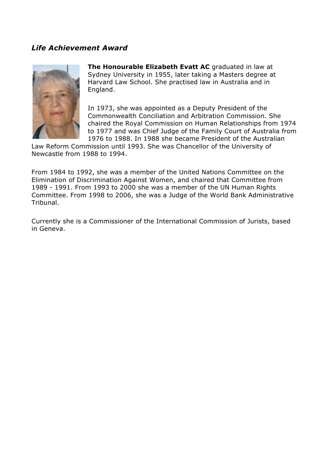#### *Life Achievement Award*



**The Honourable Elizabeth Evatt AC** graduated in law at Sydney University in 1955, later taking a Masters degree at Harvard Law School. She practised law in Australia and in England.

In 1973, she was appointed as a Deputy President of the Commonwealth Conciliation and Arbitration Commission. She chaired the Royal Commission on Human Relationships from 1974 to 1977 and was Chief Judge of the Family Court of Australia from 1976 to 1988. In 1988 she became President of the Australian

Law Reform Commission until 1993. She was Chancellor of the University of Newcastle from 1988 to 1994.

From 1984 to 1992, she was a member of the United Nations Committee on the Elimination of Discrimination Against Women, and chaired that Committee from 1989 - 1991. From 1993 to 2000 she was a member of the UN Human Rights Committee. From 1998 to 2006, she was a Judge of the World Bank Administrative Tribunal.

Currently she is a Commissioner of the International Commission of Jurists, based in Geneva.